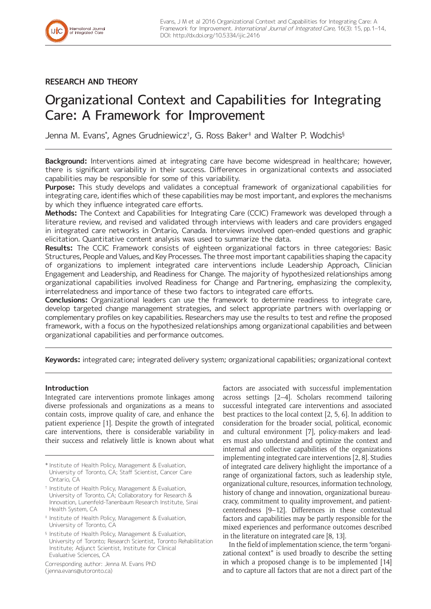# **RESEARCH AND THEORY**

# Organizational Context and Capabilities for Integrating Care: A Framework for Improvement

Jenna M. Evans\* , Agnes Grudniewicz† , G. Ross Baker‡ and Walter P. Wodchis§

**Background:** Interventions aimed at integrating care have become widespread in healthcare; however, there is significant variability in their success. Differences in organizational contexts and associated capabilities may be responsible for some of this variability.

**Purpose:** This study develops and validates a conceptual framework of organizational capabilities for integrating care, identifies which of these capabilities may be most important, and explores the mechanisms by which they influence integrated care efforts.

**Methods:** The Context and Capabilities for Integrating Care (CCIC) Framework was developed through a literature review, and revised and validated through interviews with leaders and care providers engaged in integrated care networks in Ontario, Canada. Interviews involved open-ended questions and graphic elicitation. Quantitative content analysis was used to summarize the data.

**Results:** The CCIC Framework consists of eighteen organizational factors in three categories: Basic Structures, People and Values, and Key Processes. The three most important capabilities shaping the capacity of organizations to implement integrated care interventions include Leadership Approach, Clinician Engagement and Leadership, and Readiness for Change. The majority of hypothesized relationships among organizational capabilities involved Readiness for Change and Partnering, emphasizing the complexity, interrelatedness and importance of these two factors to integrated care efforts.

**Conclusions:** Organizational leaders can use the framework to determine readiness to integrate care, develop targeted change management strategies, and select appropriate partners with overlapping or complementary profiles on key capabilities. Researchers may use the results to test and refine the proposed framework, with a focus on the hypothesized relationships among organizational capabilities and between organizational capabilities and performance outcomes.

**Keywords:** integrated care; integrated delivery system; organizational capabilities; organizational context

# **Introduction**

Integrated care interventions promote linkages among diverse professionals and organizations as a means to contain costs, improve quality of care, and enhance the patient experience [1]. Despite the growth of integrated care interventions, there is considerable variability in their success and relatively little is known about what

- \* Institute of Health Policy, Management & Evaluation, University of Toronto, CA; Staff Scientist, Cancer Care Ontario, CA
- † Institute of Health Policy, Management & Evaluation, University of Toronto, CA; Collaboratory for Research & Innovation, Lunenfeld-Tanenbaum Research Institute, Sinai Health System, CA
- ‡ Institute of Health Policy, Management & Evaluation, University of Toronto, CA
- § Institute of Health Policy, Management & Evaluation, University of Toronto; Research Scientist, Toronto Rehabilitation Institute; Adjunct Scientist, Institute for Clinical Evaluative Sciences, CA

Corresponding author: Jenna M. Evans PhD ([jenna.evans@utoronto.ca](mailto:jenna.evans@utoronto.ca))

factors are associated with successful implementation across settings [2–4]. Scholars recommend tailoring successful integrated care interventions and associated best practices to the local context [2, 5, 6]. In addition to consideration for the broader social, political, economic and cultural environment [7], policy-makers and leaders must also understand and optimize the context and internal and collective capabilities of the organizations implementing integrated care interventions [2, 8]. Studies of integrated care delivery highlight the importance of a range of organizational factors, such as leadership style, organizational culture, resources, information technology, history of change and innovation, organizational bureaucracy, commitment to quality improvement, and patientcenteredness [9–12]. Differences in these contextual factors and capabilities may be partly responsible for the mixed experiences and performance outcomes described in the literature on integrated care [8, 13].

In the field of implementation science, the term "organizational context" is used broadly to describe the setting in which a proposed change is to be implemented [14] and to capture all factors that are not a direct part of the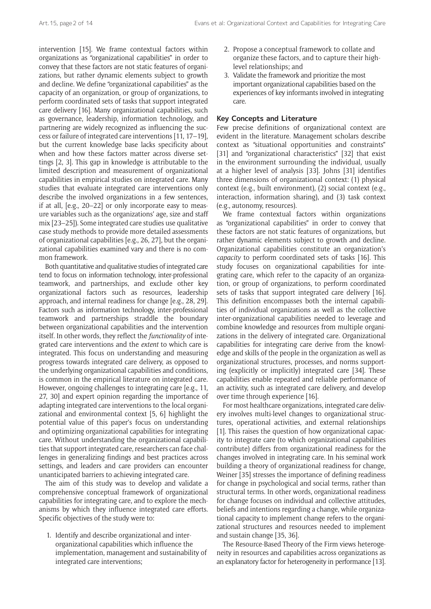intervention [15]. We frame contextual factors within organizations as "organizational capabilities" in order to convey that these factors are not static features of organizations, but rather dynamic elements subject to growth and decline. We define "organizational capabilities" as the capacity of an organization, or group of organizations, to perform coordinated sets of tasks that support integrated care delivery [16]. Many organizational capabilities, such as governance, leadership, information technology, and partnering are widely recognized as influencing the success or failure of integrated care interventions [11, 17–19], but the current knowledge base lacks specificity about when and how these factors matter across diverse settings [2, 3]. This gap in knowledge is attributable to the limited description and measurement of organizational capabilities in empirical studies on integrated care. Many studies that evaluate integrated care interventions only describe the involved organizations in a few sentences, if at all, [e.g., 20–22] or only incorporate easy to measure variables such as the organizations' age, size and staff mix [23–25]). Some integrated care studies use qualitative case study methods to provide more detailed assessments of organizational capabilities [e.g., 26, 27], but the organizational capabilities examined vary and there is no common framework.

Both quantitative and qualitative studies of integrated care tend to focus on information technology, inter-professional teamwork, and partnerships, and exclude other key organizational factors such as resources, leadership approach, and internal readiness for change [e.g., 28, 29]. Factors such as information technology, inter-professional teamwork and partnerships straddle the boundary between organizational capabilities and the intervention itself. In other words, they reflect the *functionality* of integrated care interventions and the *extent* to which care is integrated. This focus on understanding and measuring progress towards integrated care delivery, as opposed to the underlying organizational capabilities and conditions, is common in the empirical literature on integrated care. However, ongoing challenges to integrating care [e.g., 11, 27, 30] and expert opinion regarding the importance of adapting integrated care interventions to the local organizational and environmental context [5, 6] highlight the potential value of this paper's focus on understanding and optimizing organizational capabilities for integrating care. Without understanding the organizational capabilities that support integrated care, researchers can face challenges in generalizing findings and best practices across settings, and leaders and care providers can encounter unanticipated barriers to achieving integrated care.

The aim of this study was to develop and validate a comprehensive conceptual framework of organizational capabilities for integrating care, and to explore the mechanisms by which they influence integrated care efforts. Specific objectives of the study were to:

1. Identify and describe organizational and interorganizational capabilities which influence the implementation, management and sustainability of integrated care interventions;

- 2. Propose a conceptual framework to collate and organize these factors, and to capture their highlevel relationships; and
- 3. Validate the framework and prioritize the most important organizational capabilities based on the experiences of key informants involved in integrating care.

#### **Key Concepts and Literature**

Few precise definitions of organizational context are evident in the literature. Management scholars describe context as "situational opportunities and constraints" [31] and "organizational characteristics" [32] that exist in the environment surrounding the individual, usually at a higher level of analysis [33]. Johns [31] identifies three dimensions of organizational context: (1) physical context (e.g., built environment), (2) social context (e.g., interaction, information sharing), and (3) task context (e.g., autonomy, resources).

We frame contextual factors within organizations as "organizational capabilities" in order to convey that these factors are not static features of organizations, but rather dynamic elements subject to growth and decline. Organizational capabilities constitute an organization's *capacity* to perform coordinated sets of tasks [16]. This study focuses on organizational capabilities for integrating care, which refer to the capacity of an organization, or group of organizations, to perform coordinated sets of tasks that support integrated care delivery [16]. This definition encompasses both the internal capabilities of individual organizations as well as the collective inter-organizational capabilities needed to leverage and combine knowledge and resources from multiple organizations in the delivery of integrated care. Organizational capabilities for integrating care derive from the knowledge and skills of the people in the organization as well as organizational structures, processes, and norms supporting (explicitly or implicitly) integrated care [34]. These capabilities enable repeated and reliable performance of an activity, such as integrated care delivery, and develop over time through experience [16].

For most healthcare organizations, integrated care delivery involves multi-level changes to organizational structures, operational activities, and external relationships [1]. This raises the question of how organizational capacity to integrate care (to which organizational capabilities contribute) differs from organizational readiness for the changes involved in integrating care. In his seminal work building a theory of organizational readiness for change, Weiner [35] stresses the importance of defining readiness for change in psychological and social terms, rather than structural terms. In other words, organizational readiness for change focuses on individual and collective attitudes, beliefs and intentions regarding a change, while organizational capacity to implement change refers to the organizational structures and resources needed to implement and sustain change [35, 36].

The Resource-Based Theory of the Firm views heterogeneity in resources and capabilities across organizations as an explanatory factor for heterogeneity in performance [13].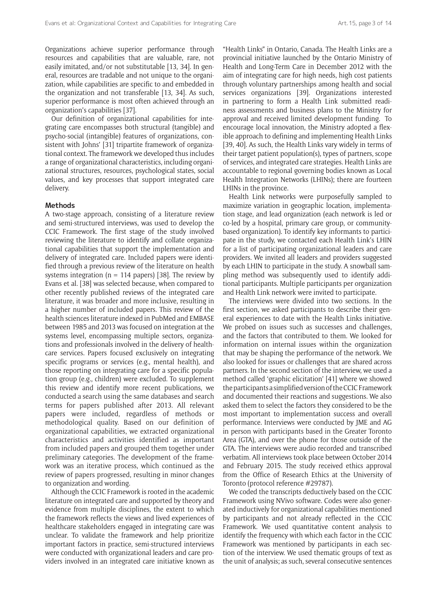Organizations achieve superior performance through resources and capabilities that are valuable, rare, not easily imitated, and/or not substitutable [13, 34]. In general, resources are tradable and not unique to the organization, while capabilities are specific to and embedded in the organization and not transferable [13, 34]. As such, superior performance is most often achieved through an organization's capabilities [37].

Our definition of organizational capabilities for integrating care encompasses both structural (tangible) and psycho-social (intangible) features of organizations, consistent with Johns' [31] tripartite framework of organizational context. The framework we developed thus includes a range of organizational characteristics, including organizational structures, resources, psychological states, social values, and key processes that support integrated care delivery.

#### **Methods**

A two-stage approach, consisting of a literature review and semi-structured interviews, was used to develop the CCIC Framework. The first stage of the study involved reviewing the literature to identify and collate organizational capabilities that support the implementation and delivery of integrated care. Included papers were identified through a previous review of the literature on health systems integration ( $n = 114$  papers) [38]. The review by Evans et al. [38] was selected because, when compared to other recently published reviews of the integrated care literature, it was broader and more inclusive, resulting in a higher number of included papers. This review of the health sciences literature indexed in PubMed and EMBASE between 1985 and 2013 was focused on integration at the systems level, encompassing multiple sectors, organizations and professionals involved in the delivery of healthcare services. Papers focused exclusively on integrating specific programs or services (e.g., mental health), and those reporting on integrating care for a specific population group (e.g., children) were excluded. To supplement this review and identify more recent publications, we conducted a search using the same databases and search terms for papers published after 2013. All relevant papers were included, regardless of methods or methodological quality. Based on our definition of organizational capabilities, we extracted organizational characteristics and activities identified as important from included papers and grouped them together under preliminary categories. The development of the framework was an iterative process, which continued as the review of papers progressed, resulting in minor changes to organization and wording.

Although the CCIC Framework is rooted in the academic literature on integrated care and supported by theory and evidence from multiple disciplines, the extent to which the framework reflects the views and lived experiences of healthcare stakeholders engaged in integrating care was unclear. To validate the framework and help prioritize important factors in practice, semi-structured interviews were conducted with organizational leaders and care providers involved in an integrated care initiative known as

"Health Links" in Ontario, Canada. The Health Links are a provincial initiative launched by the Ontario Ministry of Health and Long-Term Care in December 2012 with the aim of integrating care for high needs, high cost patients through voluntary partnerships among health and social services organizations [39]. Organizations interested in partnering to form a Health Link submitted readiness assessments and business plans to the Ministry for approval and received limited development funding. To encourage local innovation, the Ministry adopted a flexible approach to defining and implementing Health Links [39, 40]. As such, the Health Links vary widely in terms of their target patient population(s), types of partners, scope of services, and integrated care strategies. Health Links are accountable to regional governing bodies known as Local Health Integration Networks (LHINs); there are fourteen LHINs in the province.

Health Link networks were purposefully sampled to maximize variation in geographic location, implementation stage, and lead organization (each network is led or co-led by a hospital, primary care group, or communitybased organization). To identify key informants to participate in the study, we contacted each Health Link's LHIN for a list of participating organizational leaders and care providers. We invited all leaders and providers suggested by each LHIN to participate in the study. A snowball sampling method was subsequently used to identify additional participants. Multiple participants per organization and Health Link network were invited to participate.

The interviews were divided into two sections. In the first section, we asked participants to describe their general experiences to date with the Health Links initiative. We probed on issues such as successes and challenges, and the factors that contributed to them. We looked for information on internal issues within the organization that may be shaping the performance of the network. We also looked for issues or challenges that are shared across partners. In the second section of the interview, we used a method called 'graphic elicitation' [41] where we showed the participants a simplified version of the CCIC Framework and documented their reactions and suggestions. We also asked them to select the factors they considered to be the most important to implementation success and overall performance. Interviews were conducted by JME and AG in person with participants based in the Greater Toronto Area (GTA), and over the phone for those outside of the GTA. The interviews were audio recorded and transcribed verbatim. All interviews took place between October 2014 and February 2015. The study received ethics approval from the Office of Research Ethics at the University of Toronto (protocol reference #29787).

We coded the transcripts deductively based on the CCIC Framework using NVivo software. Codes were also generated inductively for organizational capabilities mentioned by participants and not already reflected in the CCIC Framework. We used quantitative content analysis to identify the frequency with which each factor in the CCIC Framework was mentioned by participants in each section of the interview. We used thematic groups of text as the unit of analysis; as such, several consecutive sentences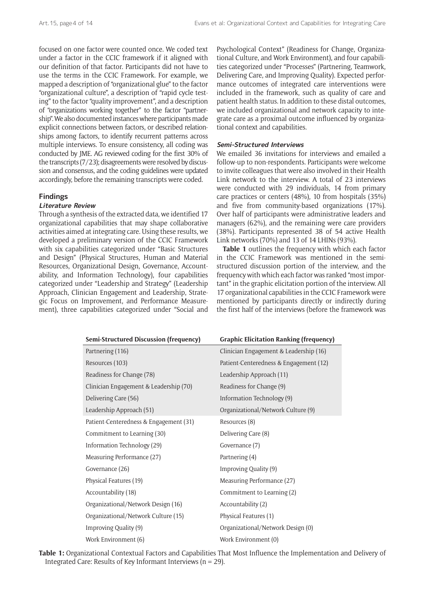focused on one factor were counted once. We coded text under a factor in the CCIC framework if it aligned with our definition of that factor. Participants did not have to use the terms in the CCIC Framework. For example, we mapped a description of "organizational glue" to the factor "organizational culture", a description of "rapid cycle testing" to the factor "quality improvement", and a description of "organizations working together" to the factor "partnership". We also documented instances where participants made explicit connections between factors, or described relationships among factors, to identify recurrent patterns across multiple interviews. To ensure consistency, all coding was conducted by JME. AG reviewed coding for the first 30% of the transcripts (7/23); disagreements were resolved by discussion and consensus, and the coding guidelines were updated accordingly, before the remaining transcripts were coded.

## **Findings**

# **Literature Review**

Through a synthesis of the extracted data, we identified 17 organizational capabilities that may shape collaborative activities aimed at integrating care. Using these results, we developed a preliminary version of the CCIC Framework with six capabilities categorized under "Basic Structures and Design" (Physical Structures, Human and Material Resources, Organizational Design, Governance, Accountability, and Information Technology), four capabilities categorized under "Leadership and Strategy" (Leadership Approach, Clinician Engagement and Leadership, Strategic Focus on Improvement, and Performance Measurement), three capabilities categorized under "Social and

Psychological Context" (Readiness for Change, Organizational Culture, and Work Environment), and four capabilities categorized under "Processes" (Partnering, Teamwork, Delivering Care, and Improving Quality). Expected performance outcomes of integrated care interventions were included in the framework, such as quality of care and patient health status. In addition to these distal outcomes, we included organizational and network capacity to integrate care as a proximal outcome influenced by organizational context and capabilities.

#### **Semi-Structured Interviews**

We emailed 36 invitations for interviews and emailed a follow-up to non-respondents. Participants were welcome to invite colleagues that were also involved in their Health Link network to the interview. A total of 23 interviews were conducted with 29 individuals, 14 from primary care practices or centers (48%), 10 from hospitals (35%) and five from community-based organizations (17%). Over half of participants were administrative leaders and managers (62%), and the remaining were care providers (38%). Participants represented 38 of 54 active Health Link networks (70%) and 13 of 14 LHINs (93%).

**Table 1** outlines the frequency with which each factor in the CCIC Framework was mentioned in the semistructured discussion portion of the interview, and the frequency with which each factor was ranked "most important" in the graphic elicitation portion of the interview. All 17 organizational capabilities in the CCIC Framework were mentioned by participants directly or indirectly during the first half of the interviews (before the framework was

| <b>Semi-Structured Discussion (frequency)</b> | <b>Graphic Elicitation Ranking (frequency)</b> |  |
|-----------------------------------------------|------------------------------------------------|--|
| Partnering (116)                              | Clinician Engagement & Leadership (16)         |  |
| Resources (103)                               | Patient-Centeredness & Engagement (12)         |  |
| Readiness for Change (78)                     | Leadership Approach (11)                       |  |
| Clinician Engagement & Leadership (70)        | Readiness for Change (9)                       |  |
| Delivering Care (56)                          | Information Technology (9)                     |  |
| Leadership Approach (51)                      | Organizational/Network Culture (9)             |  |
| Patient-Centeredness & Engagement (31)        | Resources (8)                                  |  |
| Commitment to Learning (30)                   | Delivering Care (8)                            |  |
| Information Technology (29)                   | Governance (7)                                 |  |
| Measuring Performance (27)                    | Partnering (4)                                 |  |
| Governance (26)                               | Improving Quality (9)                          |  |
| Physical Features (19)                        | Measuring Performance (27)                     |  |
| Accountability (18)                           | Commitment to Learning (2)                     |  |
| Organizational/Network Design (16)            | Accountability (2)                             |  |
| Organizational/Network Culture (15)           | Physical Features (1)                          |  |
| Improving Quality (9)                         | Organizational/Network Design (0)              |  |
| Work Environment (6)                          | Work Environment (0)                           |  |

**Table 1:** Organizational Contextual Factors and Capabilities That Most Influence the Implementation and Delivery of Integrated Care: Results of Key Informant Interviews ( $n = 29$ ).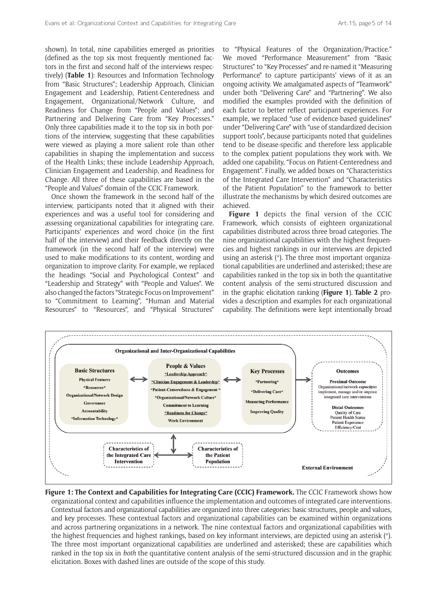shown). In total, nine capabilities emerged as priorities (defined as the top six most frequently mentioned factors in the first and second half of the interviews respectively) (**Table 1**): Resources and Information Technology from "Basic Structures"; Leadership Approach, Clinician Engagement and Leadership, Patient-Centeredness and Engagement, Organizational/Network Culture, and Readiness for Change from "People and Values"; and Partnering and Delivering Care from "Key Processes." Only three capabilities made it to the top six in both portions of the interview, suggesting that these capabilities were viewed as playing a more salient role than other capabilities in shaping the implementation and success of the Health Links; these include Leadership Approach, Clinician Engagement and Leadership, and Readiness for Change. All three of these capabilities are based in the "People and Values" domain of the CCIC Framework.

Once shown the framework in the second half of the interview, participants noted that it aligned with their experiences and was a useful tool for considering and assessing organizational capabilities for integrating care. Participants' experiences and word choice (in the first half of the interview) and their feedback directly on the framework (in the second half of the interview) were used to make modifications to its content, wording and organization to improve clarity. For example, we replaced the headings "Social and Psychological Context" and "Leadership and Strategy" with "People and Values". We also changed the factors "Strategic Focus on Improvement" to "Commitment to Learning", "Human and Material Resources" to "Resources", and "Physical Structures"

to "Physical Features of the Organization/Practice." We moved "Performance Measurement" from "Basic Structures" to "Key Processes" and re-named it "Measuring Performance" to capture participants' views of it as an ongoing activity. We amalgamated aspects of "Teamwork" under both "Delivering Care" and "Partnering". We also modified the examples provided with the definition of each factor to better reflect participant experiences. For example, we replaced "use of evidence-based guidelines" under "Delivering Care" with "use of standardized decision support tools", because participants noted that guidelines tend to be disease-specific and therefore less applicable to the complex patient populations they work with. We added one capability, "Focus on Patient-Centeredness and Engagement". Finally, we added boxes on "Characteristics of the Integrated Care Intervention" and "Characteristics of the Patient Population" to the framework to better illustrate the mechanisms by which desired outcomes are achieved.

**Figure 1** depicts the final version of the CCIC Framework, which consists of eighteen organizational capabilities distributed across three broad categories. The nine organizational capabilities with the highest frequencies and highest rankings in our interviews are depicted using an asterisk (\*). The three most important organizational capabilities are underlined and asterisked; these are capabilities ranked in the top six in both the quantitative content analysis of the semi-structured discussion and in the graphic elicitation ranking (**Figure 1**). **Table 2** provides a description and examples for each organizational capability. The definitions were kept intentionally broad



**Figure 1: The Context and Capabilities for Integrating Care (CCIC) Framework.** The CCIC Framework shows how organizational context and capabilities influence the implementation and outcomes of integrated care interventions. Contextual factors and organizational capabilities are organized into three categories: basic structures, people and values, and key processes. These contextual factors and organizational capabilities can be examined within organizations and across partnering organizations in a network. The nine contextual factors and organizational capabilities with the highest frequencies and highest rankings, based on key informant interviews, are depicted using an asterisk (\*). The three most important organizational capabilities are underlined and asterisked; these are capabilities which ranked in the top six in *both* the quantitative content analysis of the semi-structured discussion and in the graphic elicitation. Boxes with dashed lines are outside of the scope of this study.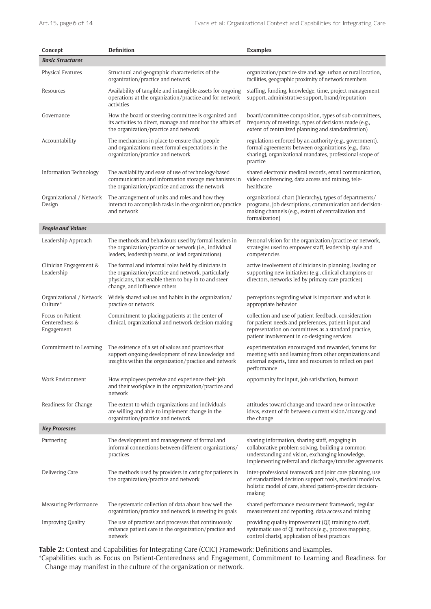| Concept                                           | <b>Definition</b>                                                                                                                                                                                 | <b>Examples</b>                                                                                                                                                                                                       |
|---------------------------------------------------|---------------------------------------------------------------------------------------------------------------------------------------------------------------------------------------------------|-----------------------------------------------------------------------------------------------------------------------------------------------------------------------------------------------------------------------|
| <b>Basic Structures</b>                           |                                                                                                                                                                                                   |                                                                                                                                                                                                                       |
| <b>Physical Features</b>                          | Structural and geographic characteristics of the<br>organization/practice and network                                                                                                             | organization/practice size and age, urban or rural location,<br>facilities, geographic proximity of network members                                                                                                   |
| Resources                                         | Availability of tangible and intangible assets for ongoing<br>operations at the organization/practice and for network<br>activities                                                               | staffing, funding, knowledge, time, project management<br>support, administrative support, brand/reputation                                                                                                           |
| Governance                                        | How the board or steering committee is organized and<br>its activities to direct, manage and monitor the affairs of<br>the organization/practice and network                                      | board/committee composition, types of sub-committees,<br>frequency of meetings, types of decisions made (e.g.,<br>extent of centralized planning and standardization)                                                 |
| Accountability                                    | The mechanisms in place to ensure that people<br>and organizations meet formal expectations in the<br>organization/practice and network                                                           | regulations enforced by an authority (e.g., government),<br>formal agreements between organizations (e.g., data<br>sharing), organizational mandates, professional scope of<br>practice                               |
| Information Technology                            | The availability and ease of use of technology-based<br>communication and information storage mechanisms in<br>the organization/practice and across the network                                   | shared electronic medical records, email communication,<br>video conferencing, data access and mining, tele-<br>healthcare                                                                                            |
| Organizational / Network<br>Design                | The arrangement of units and roles and how they<br>interact to accomplish tasks in the organization/practice<br>and network                                                                       | organizational chart (hierarchy), types of departments/<br>programs, job descriptions, communication and decision-<br>making channels (e.g., extent of centralization and<br>formalization)                           |
| <b>People and Values</b>                          |                                                                                                                                                                                                   |                                                                                                                                                                                                                       |
| Leadership Approach                               | The methods and behaviours used by formal leaders in<br>the organization/practice or network (i.e., individual<br>leaders, leadership teams, or lead organizations)                               | Personal vision for the organization/practice or network,<br>strategies used to empower staff, leadership style and<br>competencies                                                                                   |
| Clinician Engagement &<br>Leadership              | The formal and informal roles held by clinicians in<br>the organization/practice and network, particularly<br>physicians, that enable them to buy-in to and steer<br>change, and influence others | active involvement of clinicians in planning, leading or<br>supporting new initiatives (e.g., clinical champions or<br>directors, networks led by primary care practices)                                             |
| Organizational / Network<br>Culture*              | Widely shared values and habits in the organization/<br>practice or network                                                                                                                       | perceptions regarding what is important and what is<br>appropriate behavior                                                                                                                                           |
| Focus on Patient-<br>Centeredness &<br>Engagement | Commitment to placing patients at the center of<br>clinical, organizational and network decision-making                                                                                           | collection and use of patient feedback, consideration<br>for patient needs and preferences, patient input and<br>representation on committees as a standard practice,<br>patient involvement in co-designing services |
| Commitment to Learning                            | The existence of a set of values and practices that<br>support ongoing development of new knowledge and<br>insights within the organization/practice and network                                  | experimentation encouraged and rewarded, forums for<br>meeting with and learning from other organizations and<br>external experts, time and resources to reflect on past<br>performance                               |
| Work Environment                                  | How employees perceive and experience their job<br>and their workplace in the organization/practice and<br>network                                                                                | opportunity for input, job satisfaction, burnout                                                                                                                                                                      |
| Readiness for Change                              | The extent to which organizations and individuals<br>are willing and able to implement change in the<br>organization/practice and network                                                         | attitudes toward change and toward new or innovative<br>ideas, extent of fit between current vision/strategy and<br>the change                                                                                        |
| <b>Key Processes</b>                              |                                                                                                                                                                                                   |                                                                                                                                                                                                                       |
| Partnering                                        | The development and management of formal and<br>informal connections between different organizations/<br>practices                                                                                | sharing information, sharing staff, engaging in<br>collaborative problem-solving, building a common<br>understanding and vision, exchanging knowledge,<br>implementing referral and discharge/transfer agreements     |
| Delivering Care                                   | The methods used by providers in caring for patients in<br>the organization/practice and network                                                                                                  | inter-professional teamwork and joint care planning, use<br>of standardized decision support tools, medical model vs.<br>holistic model of care, shared patient-provider decision-<br>making                          |
| Measuring Performance                             | The systematic collection of data about how well the<br>organization/practice and network is meeting its goals                                                                                    | shared performance measurement framework, regular<br>measurement and reporting, data access and mining                                                                                                                |
| <b>Improving Quality</b>                          | The use of practices and processes that continuously<br>enhance patient care in the organization/practice and<br>network                                                                          | providing quality improvement (QI) training to staff,<br>systematic use of QI methods (e.g., process mapping,<br>control charts), application of best practices                                                       |

**Table 2:** Context and Capabilities for Integrating Care (CCIC) Framework: Definitions and Examples.

\*Capabilities such as Focus on Patient-Centeredness and Engagement, Commitment to Learning and Readiness for Change may manifest in the culture of the organization or network.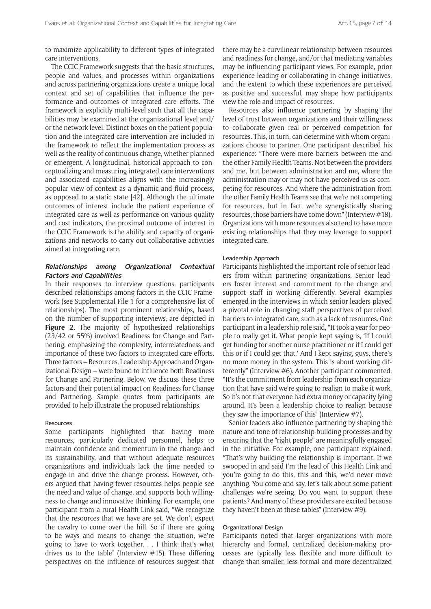to maximize applicability to different types of integrated care interventions.

The CCIC Framework suggests that the basic structures, people and values, and processes within organizations and across partnering organizations create a unique local context and set of capabilities that influence the performance and outcomes of integrated care efforts. The framework is explicitly multi-level such that all the capabilities may be examined at the organizational level and/ or the network level. Distinct boxes on the patient population and the integrated care intervention are included in the framework to reflect the implementation process as well as the reality of continuous change, whether planned or emergent. A longitudinal, historical approach to conceptualizing and measuring integrated care interventions and associated capabilities aligns with the increasingly popular view of context as a dynamic and fluid process, as opposed to a static state [42]. Although the ultimate outcomes of interest include the patient experience of integrated care as well as performance on various quality and cost indicators, the proximal outcome of interest in the CCIC Framework is the ability and capacity of organizations and networks to carry out collaborative activities aimed at integrating care.

#### **Relationships among Organizational Contextual Factors and Capabilities**

In their responses to interview questions, participants described relationships among factors in the CCIC Framework (see Supplemental File 1 for a comprehensive list of relationships). The most prominent relationships, based on the number of supporting interviews, are depicted in **Figure 2**. The majority of hypothesized relationships (23/42 or 55%) involved Readiness for Change and Partnering, emphasizing the complexity, interrelatedness and importance of these two factors to integrated care efforts. Three factors – Resources, Leadership Approach and Organizational Design – were found to influence both Readiness for Change and Partnering. Below, we discuss these three factors and their potential impact on Readiness for Change and Partnering. Sample quotes from participants are provided to help illustrate the proposed relationships.

#### Resources

Some participants highlighted that having more resources, particularly dedicated personnel, helps to maintain confidence and momentum in the change and its sustainability, and that without adequate resources organizations and individuals lack the time needed to engage in and drive the change process. However, others argued that having fewer resources helps people see the need and value of change, and supports both willingness to change and innovative thinking. For example, one participant from a rural Health Link said, "We recognize that the resources that we have are set. We don't expect the cavalry to come over the hill. So if there are going to be ways and means to change the situation, we're going to have to work together. . . I think that's what drives us to the table" (Interview #15). These differing perspectives on the influence of resources suggest that there may be a curvilinear relationship between resources and readiness for change, and/or that mediating variables may be influencing participant views. For example, prior experience leading or collaborating in change initiatives, and the extent to which these experiences are perceived as positive and successful, may shape how participants view the role and impact of resources.

Resources also influence partnering by shaping the level of trust between organizations and their willingness to collaborate given real or perceived competition for resources. This, in turn, can determine with whom organizations choose to partner. One participant described his experience: "There were more barriers between me and the other Family Health Teams. Not between the providers and me, but between administration and me, where the administration may or may not have perceived us as competing for resources. And where the administration from the other Family Health Teams see that we're not competing for resources, but in fact, we're synergistically sharing resources, those barriers have come down" (Interview #18). Organizations with more resources also tend to have more existing relationships that they may leverage to support integrated care.

#### Leadership Approach

Participants highlighted the important role of senior leaders from within partnering organizations. Senior leaders foster interest and commitment to the change and support staff in working differently. Several examples emerged in the interviews in which senior leaders played a pivotal role in changing staff perspectives of perceived barriers to integrated care, such as a lack of resources. One participant in a leadership role said, "It took a year for people to really get it. What people kept saying is, 'If I could get funding for another nurse practitioner or if I could get this or if I could get that.' And I kept saying, guys, there's no more money in the system. This is about working differently" (Interview #6). Another participant commented, "It's the commitment from leadership from each organization that have said we're going to realign to make it work. So it's not that everyone had extra money or capacity lying around. It's been a leadership choice to realign because they saw the importance of this" (Interview #7).

Senior leaders also influence partnering by shaping the nature and tone of relationship-building processes and by ensuring that the "right people" are meaningfully engaged in the initiative. For example, one participant explained, "That's why building the relationship is important. If we swooped in and said I'm the lead of this Health Link and you're going to do this, this and this, we'd never move anything. You come and say, let's talk about some patient challenges we're seeing. Do you want to support these patients? And many of these providers are excited because they haven't been at these tables" (Interview #9).

#### Organizational Design

Participants noted that larger organizations with more hierarchy and formal, centralized decision-making processes are typically less flexible and more difficult to change than smaller, less formal and more decentralized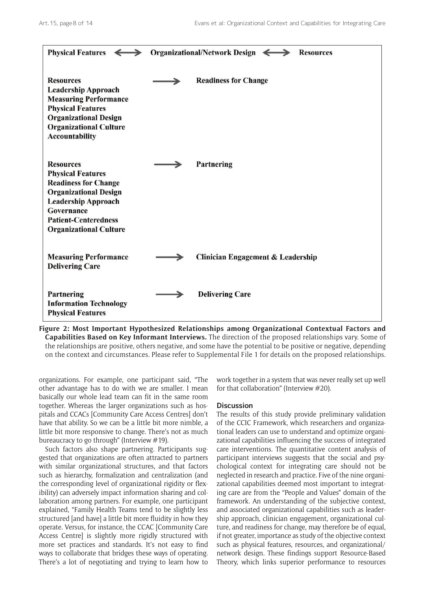

**Figure 2: Most Important Hypothesized Relationships among Organizational Contextual Factors and Capabilities Based on Key Informant Interviews.** The direction of the proposed relationships vary. Some of the relationships are positive, others negative, and some have the potential to be positive or negative, depending on the context and circumstances. Please refer to Supplemental File 1 for details on the proposed relationships.

organizations. For example, one participant said, "The other advantage has to do with we are smaller. I mean basically our whole lead team can fit in the same room together. Whereas the larger organizations such as hospitals and CCACs [Community Care Access Centres] don't have that ability. So we can be a little bit more nimble, a little bit more responsive to change. There's not as much bureaucracy to go through" (Interview #19).

Such factors also shape partnering. Participants suggested that organizations are often attracted to partners with similar organizational structures, and that factors such as hierarchy, formalization and centralization (and the corresponding level of organizational rigidity or flexibility) can adversely impact information sharing and collaboration among partners. For example, one participant explained, "Family Health Teams tend to be slightly less structured [and have] a little bit more fluidity in how they operate. Versus, for instance, the CCAC [Community Care Access Centre] is slightly more rigidly structured with more set practices and standards. It's not easy to find ways to collaborate that bridges these ways of operating. There's a lot of negotiating and trying to learn how to

work together in a system that was never really set up well for that collaboration" (Interview #20).

#### **Discussion**

The results of this study provide preliminary validation of the CCIC Framework, which researchers and organizational leaders can use to understand and optimize organizational capabilities influencing the success of integrated care interventions. The quantitative content analysis of participant interviews suggests that the social and psychological context for integrating care should not be neglected in research and practice. Five of the nine organizational capabilities deemed most important to integrating care are from the "People and Values" domain of the framework. An understanding of the subjective context, and associated organizational capabilities such as leadership approach, clinician engagement, organizational culture, and readiness for change, may therefore be of equal, if not greater, importance as study of the objective context such as physical features, resources, and organizational/ network design. These findings support Resource-Based Theory, which links superior performance to resources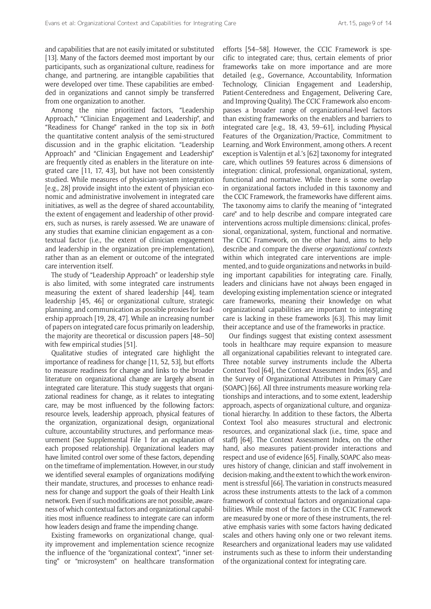and capabilities that are not easily imitated or substituted [13]. Many of the factors deemed most important by our participants, such as organizational culture, readiness for change, and partnering, are intangible capabilities that were developed over time. These capabilities are embedded in organizations and cannot simply be transferred from one organization to another.

Among the nine prioritized factors, "Leadership Approach," "Clinician Engagement and Leadership", and "Readiness for Change" ranked in the top six in *both* the quantitative content analysis of the semi-structured discussion and in the graphic elicitation. "Leadership Approach" and "Clinician Engagement and Leadership" are frequently cited as enablers in the literature on integrated care [11, 17, 43], but have not been consistently studied. While measures of physician-system integration [e.g., 28] provide insight into the extent of physician economic and administrative involvement in integrated care initiatives, as well as the degree of shared accountability, the extent of engagement and leadership of other providers, such as nurses, is rarely assessed. We are unaware of any studies that examine clinician engagement as a contextual factor (i.e., the extent of clinician engagement and leadership in the organization pre-implementation), rather than as an element or outcome of the integrated care intervention itself.

The study of "Leadership Approach" or leadership style is also limited, with some integrated care instruments measuring the extent of shared leadership [44], team leadership [45, 46] or organizational culture, strategic planning, and communication as possible proxies for leadership approach [19, 28, 47]. While an increasing number of papers on integrated care focus primarily on leadership, the majority are theoretical or discussion papers [48–50] with few empirical studies [51].

Qualitative studies of integrated care highlight the importance of readiness for change [11, 52, 53], but efforts to measure readiness for change and links to the broader literature on organizational change are largely absent in integrated care literature. This study suggests that organizational readiness for change, as it relates to integrating care, may be most influenced by the following factors: resource levels, leadership approach, physical features of the organization, organizational design, organizational culture, accountability structures, and performance measurement (See Supplemental File 1 for an explanation of each proposed relationship). Organizational leaders may have limited control over some of these factors, depending on the timeframe of implementation. However, in our study we identified several examples of organizations modifying their mandate, structures, and processes to enhance readiness for change and support the goals of their Health Link network. Even if such modifications are not possible, awareness of which contextual factors and organizational capabilities most influence readiness to integrate care can inform how leaders design and frame the impending change.

Existing frameworks on organizational change, quality improvement and implementation science recognize the influence of the "organizational context", "inner setting" or "microsystem" on healthcare transformation

efforts [54–58]. However, the CCIC Framework is specific to integrated care; thus, certain elements of prior frameworks take on more importance and are more detailed (e.g., Governance, Accountability, Information Technology, Clinician Engagement and Leadership, Patient-Centeredness and Engagement, Delivering Care, and Improving Quality). The CCIC Framework also encompasses a broader range of organizational-level factors than existing frameworks on the enablers and barriers to integrated care [e.g., 18, 43, 59–61], including Physical Features of the Organization/Practice, Commitment to Learning, and Work Environment, among others. A recent exception is Valentijn et al.'s [62] taxonomy for integrated care, which outlines 59 features across 6 dimensions of integration: clinical, professional, organizational, system, functional and normative. While there is some overlap in organizational factors included in this taxonomy and the CCIC Framework, the frameworks have different aims. The taxonomy aims to clarify the meaning of "integrated care" and to help describe and compare integrated care interventions across multiple dimensions: clinical, professional, organizational, system, functional and normative. The CCIC Framework, on the other hand, aims to help describe and compare the diverse *organizational contexts* within which integrated care interventions are implemented, and to guide organizations and networks in building important capabilities for integrating care. Finally, leaders and clinicians have not always been engaged in developing existing implementation science or integrated care frameworks, meaning their knowledge on what organizational capabilities are important to integrating care is lacking in these frameworks [63]. This may limit their acceptance and use of the frameworks in practice.

Our findings suggest that existing context assessment tools in healthcare may require expansion to measure all organizational capabilities relevant to integrated care. Three notable survey instruments include the Alberta Context Tool [64], the Context Assessment Index [65], and the Survey of Organizational Attributes in Primary Care (SOAPC) [66]. All three instruments measure working relationships and interactions, and to some extent, leadership approach, aspects of organizational culture, and organizational hierarchy. In addition to these factors, the Alberta Context Tool also measures structural and electronic resources, and organizational slack (i.e., time, space and staff) [64]. The Context Assessment Index, on the other hand, also measures patient-provider interactions and respect and use of evidence [65]. Finally, SOAPC also measures history of change, clinician and staff involvement in decision-making, and the extent to which the work environment is stressful [66]. The variation in constructs measured across these instruments attests to the lack of a common framework of contextual factors and organizational capabilities. While most of the factors in the CCIC Framework are measured by one or more of these instruments, the relative emphasis varies with some factors having dedicated scales and others having only one or two relevant items. Researchers and organizational leaders may use validated instruments such as these to inform their understanding of the organizational context for integrating care.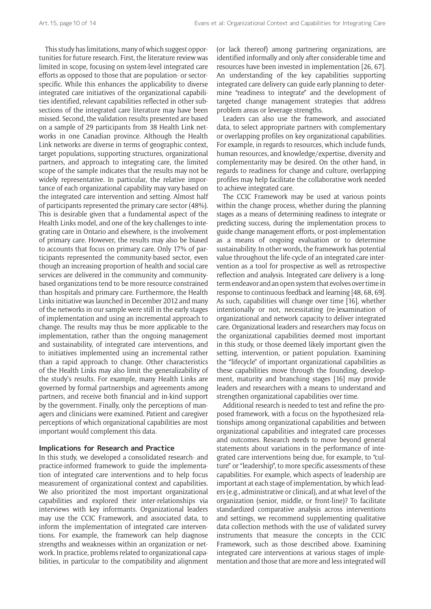This study has limitations, many of which suggest opportunities for future research. First, the literature review was limited in scope, focusing on system-level integrated care efforts as opposed to those that are population- or sectorspecific. While this enhances the applicability to diverse integrated care initiatives of the organizational capabilities identified, relevant capabilities reflected in other subsections of the integrated care literature may have been missed. Second, the validation results presented are based on a sample of 29 participants from 38 Health Link networks in one Canadian province. Although the Health Link networks are diverse in terms of geographic context, target populations, supporting structures, organizational partners, and approach to integrating care, the limited scope of the sample indicates that the results may not be widely representative. In particular, the relative importance of each organizational capability may vary based on the integrated care intervention and setting. Almost half of participants represented the primary care sector (48%). This is desirable given that a fundamental aspect of the Health Links model, and one of the key challenges to integrating care in Ontario and elsewhere, is the involvement of primary care. However, the results may also be biased to accounts that focus on primary care. Only 17% of participants represented the community-based sector, even though an increasing proportion of health and social care services are delivered in the community and communitybased organizations tend to be more resource constrained than hospitals and primary care. Furthermore, the Health Links initiative was launched in December 2012 and many of the networks in our sample were still in the early stages of implementation and using an incremental approach to change. The results may thus be more applicable to the implementation, rather than the ongoing management and sustainability, of integrated care interventions, and to initiatives implemented using an incremental rather than a rapid approach to change. Other characteristics of the Health Links may also limit the generalizability of the study's results. For example, many Health Links are governed by formal partnerships and agreements among partners, and receive both financial and in-kind support by the government. Finally, only the perceptions of managers and clinicians were examined. Patient and caregiver perceptions of which organizational capabilities are most important would complement this data.

#### **Implications for Research and Practice**

In this study, we developed a consolidated research- and practice-informed framework to guide the implementation of integrated care interventions and to help focus measurement of organizational context and capabilities. We also prioritized the most important organizational capabilities and explored their inter-relationships via interviews with key informants. Organizational leaders may use the CCIC Framework, and associated data, to inform the implementation of integrated care interventions. For example, the framework can help diagnose strengths and weaknesses within an organization or network. In practice, problems related to organizational capabilities, in particular to the compatibility and alignment

(or lack thereof) among partnering organizations, are identified informally and only after considerable time and resources have been invested in implementation [26, 67]. An understanding of the key capabilities supporting integrated care delivery can guide early planning to determine "readiness to integrate" and the development of targeted change management strategies that address problem areas or leverage strengths.

Leaders can also use the framework, and associated data, to select appropriate partners with complementary or overlapping profiles on key organizational capabilities. For example, in regards to resources, which include funds, human resources, and knowledge/expertise, diversity and complementarity may be desired. On the other hand, in regards to readiness for change and culture, overlapping profiles may help facilitate the collaborative work needed to achieve integrated care.

The CCIC Framework may be used at various points within the change process, whether during the planning stages as a means of determining readiness to integrate or predicting success, during the implementation process to guide change management efforts, or post-implementation as a means of ongoing evaluation or to determine sustainability. In other words, the framework has potential value throughout the life-cycle of an integrated care intervention as a tool for prospective as well as retrospective reflection and analysis. Integrated care delivery is a longterm endeavor and an open system that evolves over time in response to continuous feedback and learning [48, 68, 69]. As such, capabilities will change over time [16], whether intentionally or not, necessitating (re-)examination of organizational and network capacity to deliver integrated care. Organizational leaders and researchers may focus on the organizational capabilities deemed most important in this study, or those deemed likely important given the setting, intervention, or patient population. Examining the "lifecycle" of important organizational capabilities as these capabilities move through the founding, development, maturity and branching stages [16] may provide leaders and researchers with a means to understand and strengthen organizational capabilities over time.

Additional research is needed to test and refine the proposed framework, with a focus on the hypothesized relationships among organizational capabilities and between organizational capabilities and integrated care processes and outcomes. Research needs to move beyond general statements about variations in the performance of integrated care interventions being due, for example, to "culture" or "leadership", to more specific assessments of these capabilities. For example, which aspects of leadership are important at each stage of implementation, by which leaders (e.g., administrative or clinical), and at what level of the organization (senior, middle, or front-line)? To facilitate standardized comparative analysis across interventions and settings, we recommend supplementing qualitative data collection methods with the use of validated survey instruments that measure the concepts in the CCIC Framework, such as those described above. Examining integrated care interventions at various stages of implementation and those that are more and less integrated will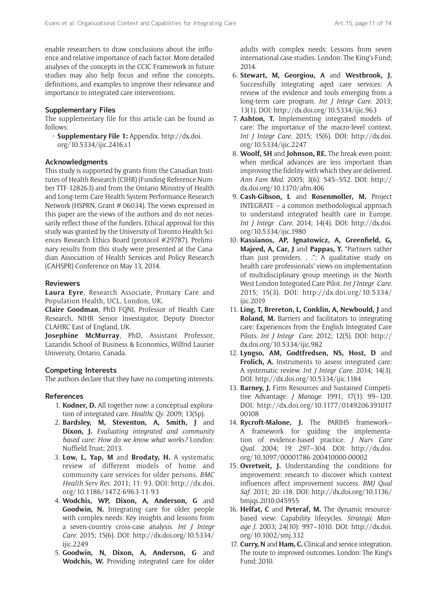enable researchers to draw conclusions about the influence and relative importance of each factor. More detailed analyses of the concepts in the CCIC Framework in future studies may also help focus and refine the concepts, definitions, and examples to improve their relevance and importance to integrated care interventions.

### **Supplementary Files**

The supplementary file for this article can be found as follows:

• **Supplementary File 1:** Appendix. [http://dx.doi.](http://dx.doi.org/10.5334/ijic.2416.s1) [org/10.5334/ijic.2416.s1](http://dx.doi.org/10.5334/ijic.2416.s1)

#### **Acknowledgments**

This study is supported by grants from the Canadian Institutes of Health Research (CIHR) (Funding Reference Number TTF-128263) and from the Ontario Ministry of Health and Long-term Care Health System Performance Research Network (HSPRN, Grant # 06034). The views expressed in this paper are the views of the authors and do not necessarily reflect those of the funders. Ethical approval for this study was granted by the University of Toronto Health Sciences Research Ethics Board (protocol #29787). Preliminary results from this study were presented at the Canadian Association of Health Services and Policy Research (CAHSPR) Conference on May 13, 2014.

#### **Reviewers**

**Laura Eyre**, Research Associate, Primary Care and Population Health, UCL, London, UK.

**Claire Goodman**, PhD FQNI, Professor of Health Care Research, NIHR Senior Investigator, Deputy Director CLAHRC East of England, UK.

**Josephine McMurray**, PhD, Assistant Professor, Lazaridis School of Business & Economics, Wilfrid Laurier University, Ontario, Canada.

#### **Competing Interests**

The authors declare that they have no competing interests.

#### **References**

- 1. **Kodner, D.** All together now: a conceptual exploration of integrated care. *Healthc Qy*. 2009; 13(Sp).
- 2. **Bardsley, M, Steventon, A, Smith, J** and **Dixon, J.** *Evaluating integrated and community based care: How do we know what works?* London: Nuffield Trust; 2013.
- 3. **Low, L, Yap, M** and **Brodaty, H.** A systematic review of different models of home and community care services for older persons. *BMC Health Serv Res*. 2011; 11: 93. DOI: [http://dx.doi.](http://dx.doi.org/10.1186/1472-6963-11-93) [org/10.1186/1472-6963-11-93](http://dx.doi.org/10.1186/1472-6963-11-93)
- 4. **Wodchis, WP, Dixon, A, Anderson, G** and **Goodwin, N.** Integrating care for older people with complex needs: Key insights and lessons from a seven-country cross-case analysis. *Int J Integr Care*. 2015; 15(6). DOI: [http://dx.doi.org/10.5334/](http://dx.doi.org/10.5334/ijic.2249) [ijic.2249](http://dx.doi.org/10.5334/ijic.2249)
- 5. **Goodwin, N, Dixon, A, Anderson, G** and **Wodchis, W.** Providing integrated care for older

adults with complex needs: Lessons from seven international case studies. London: The King's Fund; 2014.

- 6. **Stewart, M, Georgiou, A** and **Westbrook, J.** Successfully integrating aged care services: A review of the evidence and tools emerging from a long-term care program. *Int J Integr Care*. 2013; 13(1). DOI: http://dx.doi.org/10.5334/ijic.963
- 7. **Ashton, T.** Implementing integrated models of care: The importance of the macro-level context. *Int J Integr Care*. 2015; 15(6). DOI: [http://dx.doi.](http://dx.doi.org/10.5334/ijic.2247) [org/10.5334/ijic.2247](http://dx.doi.org/10.5334/ijic.2247)
- 8. **Woolf, SH** and **Johnson, RE.** The break-even point: when medical advances are less important than improving the fidelity with which they are delivered. *Ann Fam Med*. 2005; 3(6): 545–552. DOI: [http://](http://dx.doi.org/10.1370/afm.406) [dx.doi.org/10.1370/afm.406](http://dx.doi.org/10.1370/afm.406)
- 9. **Cash-Gibson, L** and **Rosenmoller, M.** Project INTEGRATE – a common methodological approach to understand integrated health care in Europe. *Int J Integr Care*. 2014; 14(4). DOI: [http://dx.doi.](http://dx.doi.org/10.5334/ijic.1980) [org/10.5334/ijic.1980](http://dx.doi.org/10.5334/ijic.1980)
- 10. **Kassianos, AP, Ignatowicz, A, Greenfield, G, Majeed, A, Car, J** and **Pappas, Y.** "Partners rather than just providers. . .": A qualitative study on health care professionals' views on implementation of multidisciplinary group meetings in the North West London Integrated Care Pilot. *Int J Integr Care*. 2015; 15(3). DOI: [http://dx.doi.org/10.5334/](http://dx.doi.org/10.5334/ijic.2019) [ijic.2019](http://dx.doi.org/10.5334/ijic.2019)
- 11. **Ling, T, Brereton, L, Conklin, A, Newbould, J** and **Roland, M.** Barriers and facilitators to integrating care: Experiences from the English Integrated Care Pilots. *Int J Integr Care*. 2012; 12(5). DOI: [http://](http://dx.doi.org/10.5334/ijic.982) [dx.doi.org/10.5334/ijic.982](http://dx.doi.org/10.5334/ijic.982)
- 12. **Lyngso, AM, Godtfredsen, NS, Host, D** and **Frolich, A.** Instruments to assess integrated care: A systematic review. *Int J Integr Care*. 2014; 14(3). DOI: <http://dx.doi.org/10.5334/ijic.1184>
- 13. **Barney, J.** Firm Resources and Sustained Competitive Advantage. *J Manage*. 1991; 17(1): 99–120. DOI: [http://dx.doi.org/10.1177/0149206391017](http://dx.doi.org/10.1177/014920639101700108) [00108](http://dx.doi.org/10.1177/014920639101700108)
- 14. **Rycroft-Malone, J.** The PARIHS framework– A framework for guiding the implementation of evidence-based practice. *J Nurs Care Qual*. 2004; 19: 297–304. DOI: [http://dx.doi.](http://dx.doi.org/10.1097/00001786-200410000-00002) [org/10.1097/00001786-200410000-00002](http://dx.doi.org/10.1097/00001786-200410000-00002)
- 15. **Ovretveit, J.** Understanding the conditions for improvement: research to discover which context influences affect improvement success. *BMJ Qual Saf*. 2011; 20: i18. DOI: http://dx.doi.org/10.1136/ bmjqs.2010.045955
- 16. **Helfat, C** and **Peteraf, M.** The dynamic resourcebased view: Capability lifecycles. *Strategic Manage J*. 2003; 24(10): 997–1010. DOI: [http://dx.doi.](http://dx.doi.org/10.1002/smj.332) [org/10.1002/smj.332](http://dx.doi.org/10.1002/smj.332)
- 17. **Curry, N** and **Ham, C.** Clinical and service integration. The route to improved outcomes. London: The King's Fund; 2010.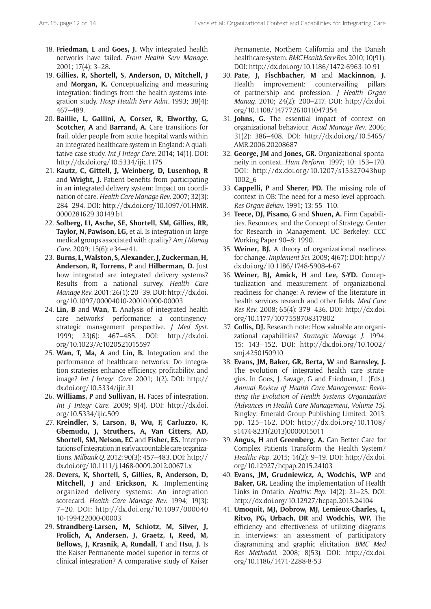- 18. **Friedman, L** and **Goes, J.** Why integrated health networks have failed. *Front Health Serv Manage*. 2001; 17(4): 3–28.
- 19. **Gillies, R, Shortell, S, Anderson, D, Mitchell, J** and **Morgan, K.** Conceptualizing and measuring integration: findings from the health systems integration study. *Hosp Health Serv Adm*. 1993; 38(4): 467–489.
- 20. **Baillie, L, Gallini, A, Corser, R, Elworthy, G, Scotcher, A** and **Barrand, A.** Care transitions for frail, older people from acute hospital wards within an integrated healthcare system in England: A qualitative case study. *Int J Integr Care*. 2014; 14(1). DOI: <http://dx.doi.org/10.5334/ijic.1175>
- 21. **Kautz, C, Gittell, J, Weinberg, D, Lusenhop, R** and **Wright, J.** Patient benefits from participating in an integrated delivery system: Impact on coordination of care. *Health Care Manage Rev*. 2007; 32(3): 284–294. DOI: [http://dx.doi.org/10.1097/01.HMR.](http://dx.doi.org/10.1097/01.HMR.0000281629.30149.b1) [0000281629.30149.b1](http://dx.doi.org/10.1097/01.HMR.0000281629.30149.b1)
- 22. **Solberg, LI, Asche, SE, Shortell, SM, Gillies, RR, Taylor, N, Pawlson, LG,** et al. Is integration in large medical groups associated with quality? *Am J Manag Care*. 2009; 15(6): e34–e41.
- 23. **Burns, L, Walston, S, Alexander, J, Zuckerman, H, Anderson, R, Torrens, P** and **Hilberman, D.** Just how integrated are integrated delivery systems? Results from a national survey. *Health Care Manage Rev*. 2001; 26(1): 20–39. DOI: [http://dx.doi.](http://dx.doi.org/10.1097/00004010-200101000-00003) [org/10.1097/00004010-200101000-00003](http://dx.doi.org/10.1097/00004010-200101000-00003)
- 24. **Lin, B** and **Wan, T.** Analysis of integrated health care networks' performance: a contingencystrategic management perspective. *J Med Syst*. 1999; 23(6): 467–485. DOI: [http://dx.doi.](http://dx.doi.org/10.1023/A:1020521015597) [org/10.1023/A:1020521015597](http://dx.doi.org/10.1023/A:1020521015597)
- 25. **Wan, T, Ma, A** and **Lin, B.** Integration and the performance of healthcare networks: Do integration strategies enhance efficiency, profitability, and image? *Int J Integr Care*. 2001; 1(2). DOI: [http://](http://dx.doi.org/10.5334/ijic.31) [dx.doi.org/10.5334/ijic.31](http://dx.doi.org/10.5334/ijic.31)
- 26. **Williams, P** and **Sullivan, H.** Faces of integration. *Int J Integr Care*. 2009; 9(4). DOI: [http://dx.doi.](http://dx.doi.org/10.5334/ijic.509) [org/10.5334/ijic.509](http://dx.doi.org/10.5334/ijic.509)
- 27. **Kreindler, S, Larson, B, Wu, F, Carluzzo, K, Gbemudu, J, Struthers, A, Van Citters, AD, Shortell, SM, Nelson, EC** and **Fisher, ES.** Interpretations of integration in early accountable care organizations. *Milbank Q*. 2012; 90(3): 457–483. DOI: [http://](http://dx.doi.org/10.1111/j.1468-0009.2012.00671.x) [dx.doi.org/10.1111/j.1468-0009.2012.00671.x](http://dx.doi.org/10.1111/j.1468-0009.2012.00671.x)
- 28. **Devers, K, Shortell, S, Gillies, R, Anderson, D, Mitchell, J** and **Erickson, K.** Implementing organized delivery systems: An integration scorecard. *Health Care Manage Rev*. 1994; 19(3): 7–20. DOI: [http://dx.doi.org/10.1097/000040](http://dx.doi.org/10.1097/00004010-199422000-00003) [10-199422000-00003](http://dx.doi.org/10.1097/00004010-199422000-00003)
- 29. **Strandberg-Larsen, M, Schiotz, M, Silver, J, Frolich, A, Andersen, J, Graetz, I, Reed, M, Bellows, J, Krasnik, A, Rundall, T** and **Hsu, J.** Is the Kaiser Permanente model superior in terms of clinical integration? A comparative study of Kaiser

Permanente, Northern California and the Danish healthcare system. *BMC Health Serv Res*. 2010; 10(91). DOI:<http://dx.doi.org/10.1186/1472-6963-10-91>

- 30. **Pate, J, Fischbacher, M** and **Mackinnon, J.** Health improvement: countervailing pillars of partnership and profession. *J Health Organ Manag*. 2010; 24(2): 200–217. DOI: [http://dx.doi.](http://dx.doi.org/10.1108/14777261011047354) [org/10.1108/14777261011047354](http://dx.doi.org/10.1108/14777261011047354)
- 31. **Johns, G.** The essential impact of context on organizational behaviour. *Acad Manage Rev*. 2006; 31(2): 386–408. DOI: [http://dx.doi.org/10.5465/](http://dx.doi.org/10.5465/AMR.2006.20208687) [AMR.2006.20208687](http://dx.doi.org/10.5465/AMR.2006.20208687)
- 32. **George, JM** and **Jones, GR.** Organizational spontaneity in context. *Hum Perform*. 1997; 10: 153–170. DOI: [http://dx.doi.org/10.1207/s15327043hup](http://dx.doi.org/10.1207/s15327043hup1002_6) [1002\\_6](http://dx.doi.org/10.1207/s15327043hup1002_6)
- 33. **Cappelli, P** and **Sherer, PD.** The missing role of context in OB: The need for a meso-level approach. *Res Organ Behav*. 1991; 13: 55–110.
- 34. **Teece, DJ, Pisano, G** and **Shuen, A.** Firm Capabilities, Resources, and the Concept of Strategy. Center for Research in Management. UC Berkeley: CCC Working Paper 90–8; 1990.
- 35. **Weiner, BJ.** A theory of organizational readiness for change. *Implement Sci*. 2009; 4(67): DOI: [http://](http://dx.doi.org/10.1186/1748-5908-4-67) [dx.doi.org/10.1186/1748-5908-4-67](http://dx.doi.org/10.1186/1748-5908-4-67)
- 36. **Weiner, BJ, Amick, H** and **Lee, S-YD.** Conceptualization and measurement of organizational readiness for change: A review of the literature in health services research and other fields. *Med Care Res Rev*. 2008; 65(4): 379–436. DOI: [http://dx.doi.](http://dx.doi.org/10.1177/1077558708317802) [org/10.1177/1077558708317802](http://dx.doi.org/10.1177/1077558708317802)
- 37. **Collis, DJ.** Research note: How valuable are organizational capabilities? *Strategic Manage J*. 1994; 15: 143–152. DOI: [http://dx.doi.org/10.1002/](http://dx.doi.org/10.1002/smj.4250150910) [smj.4250150910](http://dx.doi.org/10.1002/smj.4250150910)
- 38. **Evans, JM, Baker, GR, Berta, W** and **Barnsley, J.** The evolution of integrated health care strategies. In Goes, J, Savage, G and Friedman, L. (Eds.), *Annual Review of Health Care Management: Revisiting the Evolution of Health Systems Organization (Advances in Health Care Management, Volume 15)*. Bingley: Emerald Group Publishing Limited. 2013; pp. 125–162. DOI: [http://dx.doi.org/10.1108/](http://dx.doi.org/10.1108/s1474-8231(2013)0000015011) [s1474-8231\(2013\)0000015011](http://dx.doi.org/10.1108/s1474-8231(2013)0000015011)
- 39. **Angus, H** and **Greenberg, A.** Can Better Care for Complex Patients Transform the Health System? *Healthc Pap*. 2015; 14(2): 9–19. DOI: [http://dx.doi.](http://dx.doi.org/10.12927/hcpap.2015.24103) [org/10.12927/hcpap.2015.24103](http://dx.doi.org/10.12927/hcpap.2015.24103)
- 40. **Evans, JM, Grudniewicz, A, Wodchis, WP** and **Baker, GR.** Leading the implementation of Health Links in Ontario. *Healthc Pap*. 14(2): 21–25. DOI: <http://dx.doi.org/10.12927/hcpap.2015.24104>
- 41. **Umoquit, MJ, Dobrow, MJ, Lemieux-Charles, L, Ritvo, PG, Urbach, DR** and **Wodchis, WP.** The efficiency and effectiveness of utilizing diagrams in interviews: an assessment of participatory diagramming and graphic elicitation. *BMC Med Res Methodol*. 2008; 8(53). DOI: [http://dx.doi.](http://dx.doi.org/10.1186/1471-2288-8-53) [org/10.1186/1471-2288-8-53](http://dx.doi.org/10.1186/1471-2288-8-53)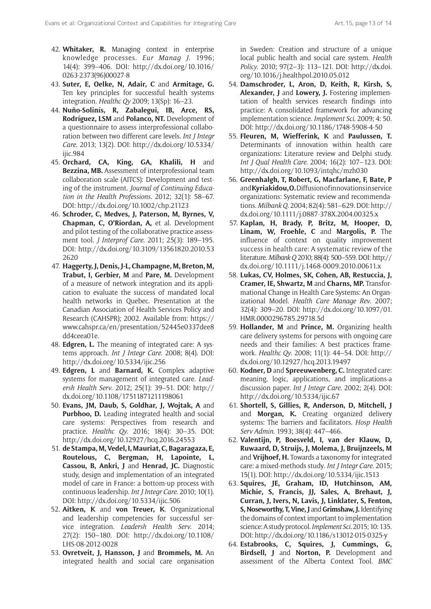- 42. **Whitaker, R.** Managing context in enterprise knowledge processes. *Eur Manag J*. 1996; 14(4): 399–406. DOI: [http://dx.doi.org/10.1016/](http://dx.doi.org/10.1016/0263-2373(96)00027-8) [0263-2373\(96\)00027-8](http://dx.doi.org/10.1016/0263-2373(96)00027-8)
- 43. **Suter, E, Oelke, N, Adair, C** and **Armitage, G.** Ten key principles for successful health systems integration. *Healthc Qy* 2009; 13(Sp): 16–23.
- 44. **Nuño-Solinís, R, Zabalegui, IB, Arce, RS, Rodríguez, LSM** and **Polanco, NT.** Development of a questionnaire to assess interprofessional collaboration between two different care levels. *Int J Integr Care*. 2013; 13(2). DOI: [http://dx.doi.org/10.5334/](http://dx.doi.org/10.5334/ijic.984) [ijic.984](http://dx.doi.org/10.5334/ijic.984)
- 45. **Orchard, CA, King, GA, Khalili, H** and **Bezzina, MB.** Assessment of interprofessional team collaboration scale (AITCS): Development and testing of the instrument. *Journal of Continuing Education in the Health Professions.* 2012; 32(1): 58–67. DOI:<http://dx.doi.org/10.1002/chp.21123>
- 46. **Schroder, C, Medves, J, Paterson, M, Byrnes, V, Chapman, C, O'Riordan, A,** et al. Development and pilot testing of the collaborative practice assessment tool. *J Interprof Care*. 2011; 25(3): 189–195. DOI: [http://dx.doi.org/10.3109/13561820.2010.53](http://dx.doi.org/10.3109/13561820.2010.532620) [2620](http://dx.doi.org/10.3109/13561820.2010.532620)
- 47. **Haggerty, J, Denis, J-L, Champagne, M, Breton, M, Trabut, I, Gerbier, M** and **Pare, M.** Development of a measure of network integration and its application to evaluate the success of mandated local health networks in Quebec. Presentation at the Canadian Association of Health Services Policy and Research (CAHSPR); 2002. Available from: [https://](https://www.cahspr.ca/en/presentation/52445e0337dee8dd4ceea01e) [www.cahspr.ca/en/presentation/52445e0337dee8](https://www.cahspr.ca/en/presentation/52445e0337dee8dd4ceea01e) [dd4ceea01e.](https://www.cahspr.ca/en/presentation/52445e0337dee8dd4ceea01e)
- 48. **Edgren, L.** The meaning of integrated care: A systems approach. *Int J Integr Care*. 2008; 8(4). DOI: <http://dx.doi.org/10.5334/ijic.256>
- 49. **Edgren, L** and **Barnard, K.** Complex adaptive systems for management of integrated care. *Leadersh Health Serv*. 2012; 25(1): 39–51. DOI: [http://](http://dx.doi.org/10.1108/17511871211198061) [dx.doi.org/10.1108/17511871211198061](http://dx.doi.org/10.1108/17511871211198061)
- 50. **Evans, JM, Daub, S, Goldhar, J, Wojtak, A** and **Purbhoo, D.** Leading integrated health and social care systems: Perspectives from research and practice. *Healthc Qy*. 2016; 18(4): 30–35. DOI: <http://dx.doi.org/10.12927/hcq.2016.24553>
- 51. **de Stampa, M, Vedel, I, Mauriat, C, Bagaragaza, E, Routelous, C, Bergman, H, Lapointe, L, Cassou, B, Ankri, J** and **Henrad, JC.** Diagnostic study, design and implementation of an integrated model of care in France: a bottom-up process with continuous leadership. *Int J Integr Care*. 2010; 10(1). DOI:<http://dx.doi.org/10.5334/ijic.506>
- 52. **Aitken, K** and **von Treuer, K**. Organizational and leadership competencies for successful service integration. *Leadersh Health Serv*. 2014; 27(2): 150–180. DOI: [http://dx.doi.org/10.1108/](http://dx.doi.org/10.1108/LHS-08-2012-0028) [LHS-08-2012-0028](http://dx.doi.org/10.1108/LHS-08-2012-0028)
- 53. **Ovretveit, J, Hansson, J** and **Brommels, M.** An integrated health and social care organisation

in Sweden: Creation and structure of a unique local public health and social care system. *Health Policy*. 2010; 97(2–3): 113–121. DOI: [http://dx.doi.](http://dx.doi.org/10.1016/j.healthpol.2010.05.012) [org/10.1016/j.healthpol.2010.05.012](http://dx.doi.org/10.1016/j.healthpol.2010.05.012)

- 54. **Damschroder, L, Aron, D, Keith, R, Kirsh, S, Alexander, J** and **Lowery, J.** Fostering implementation of health services research findings into practice: A consolidated framework for advancing implementation science. *Implement Sci*. 2009; 4: 50. DOI: <http://dx.doi.org/10.1186/1748-5908-4-50>
- 55. **Fleuren, M, Wiefferink, K** and **Paulussen, T.** Determinants of innovation within health care organizations: Literature review and Delphi study. *Int J Qual Health Care*. 2004; 16(2): 107–123. DOI: <http://dx.doi.org/10.1093/intqhc/mzh030>
- 56. **Greenhalgh, T, Robert, G, Macfarlane, F, Bate, P** and **Kyriakidou, O.** Diffusion of innovations in service organizations: Systematic review and recommendations. *Milbank Q*. 2004; 82(4): 581–629. DOI: [http://](http://dx.doi.org/10.1111/j.0887-378X.2004.00325.x) [dx.doi.org/10.1111/j.0887-378X.2004.00325.x](http://dx.doi.org/10.1111/j.0887-378X.2004.00325.x)
- 57. **Kaplan, H, Brady, P, Britz, M, Hooper, D, Linam, W, Froehle, C** and **Margolis, P.** The influence of context on quality improvement success in health care: A systematic review of the literature. *Milbank Q* 2010; 88(4): 500–559. DOI: [http://](http://dx.doi.org/10.1111/j.1468-0009.2010.00611.x) [dx.doi.org/10.1111/j.1468-0009.2010.00611.x](http://dx.doi.org/10.1111/j.1468-0009.2010.00611.x)
- 58. **Lukas, CV, Holmes, SK, Cohen, AB, Restuccia, J, Cramer, IE, Shwartz, M** and **Charns, MP.** Transformational Change in Health Care Systems: An Organizational Model. *Health Care Manage Rev*. 2007; 32(4): 309–20. DOI: [http://dx.doi.org/10.1097/01.](http://dx.doi.org/10.1097/01.HMR.0000296785.29718.5d) [HMR.0000296785.29718.5d](http://dx.doi.org/10.1097/01.HMR.0000296785.29718.5d)
- 59. **Hollander, M** and **Prince, M.** Organizing health care delivery systems for persons with ongoing care needs and their families: A best practices framework. *Healthc Qy*. 2008; 11(1): 44–54. DOI: [http://](http://dx.doi.org/10.12927/hcq.2013.19497) [dx.doi.org/10.12927/hcq.2013.19497](http://dx.doi.org/10.12927/hcq.2013.19497)
- 60. **Kodner, D** and **Spreeuwenberg, C.** Integrated care: meaning, logic, applications, and implications-a discussion paper. *Int J Integr Care*. 2002; 2(4). DOI: <http://dx.doi.org/10.5334/ijic.67>
- 61. **Shortell, S, Gillies, R, Anderson, D, Mitchell, J** and **Morgan, K.** Creating organized delivery systems: The barriers and facilitators. *Hosp Health Serv Admin*. 1993; 38(4): 447–466.
- 62. **Valentijn, P, Boesveld, I, van der Klauw, D, Ruwaard, D, Struijs, J, Molema, J, Bruijnzeels, M** and **Vrijhoef, H.** Towards a taxonomy for integrated care: a mixed-methods study*. Int J Integr Care*. 2015; 15(1). DOI:<http://dx.doi.org/10.5334/ijic.1513>
- 63. **Squires, JE, Graham, ID, Hutchinson, AM, Michie, S, Francis, JJ, Sales, A, Brehaut, J, Curran, J, Ivers, N, Lavis, J, Linklater, S, Fenton, S, Noseworthy, T, Vine, J** and **Grimshaw, J.** Identifying the domains of context important to implementation science: A study protocol. *Implement Sci.* 2015; 10: 135. DOI: <http://dx.doi.org/10.1186/s13012-015-0325-y>
- 64. **Estabrooks, C, Squires, J, Cummings, G, Birdsell, J** and **Norton, P.** Development and assessment of the Alberta Context Tool. *BMC*